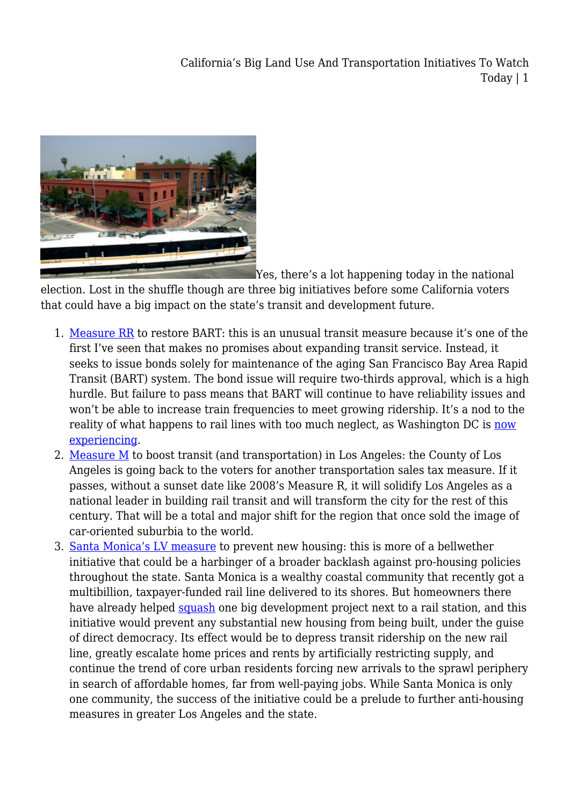

[Y](http://www.ethanelkind.com/wp-content/uploads/2015/10/Mission-Meridian-01_article_slideshow_01.jpg)es, there's a lot happening today in the national

election. Lost in the shuffle though are three big initiatives before some California voters that could have a big impact on the state's transit and development future.

- 1. [Measure RR](https://www.bart.gov/news/articles/2016/news20161013) to restore BART: this is an unusual transit measure because it's one of the first I've seen that makes no promises about expanding transit service. Instead, it seeks to issue bonds solely for maintenance of the aging San Francisco Bay Area Rapid Transit (BART) system. The bond issue will require two-thirds approval, which is a high hurdle. But failure to pass means that BART will continue to have reliability issues and won't be able to increase train frequencies to meet growing ridership. It's a nod to the reality of what happens to rail lines with too much neglect, as Washington DC is [now](https://www.washingtonpost.com/local/trafficandcommuting/metro-sank-into-crisis-despite-decades-of-warnings/2016/04/24/1c4db91c-0736-11e6-a12f-ea5aed7958dc_story.html) [experiencing.](https://www.washingtonpost.com/local/trafficandcommuting/metro-sank-into-crisis-despite-decades-of-warnings/2016/04/24/1c4db91c-0736-11e6-a12f-ea5aed7958dc_story.html)
- 2. [Measure M](https://ballotpedia.org/Los_Angeles_County,_California,_Sales_Tax,_Measure_M_%28November_2016%29) to boost transit (and transportation) in Los Angeles: the County of Los Angeles is going back to the voters for another transportation sales tax measure. If it passes, without a sunset date like 2008's Measure R, it will solidify Los Angeles as a national leader in building rail transit and will transform the city for the rest of this century. That will be a total and major shift for the region that once sold the image of car-oriented suburbia to the world.
- 3. [Santa Monica's LV measure](http://www.smvote.org/ballotmeasures/detail.aspx?id=53687092663) to prevent new housing: this is more of a bellwether initiative that could be a harbinger of a broader backlash against pro-housing policies throughout the state. Santa Monica is a wealthy coastal community that recently got a multibillion, taxpayer-funded rail line delivered to its shores. But homeowners there have already helped [squash](http://www.ethanelkind.com/what-santa-monica-nimbys-have-wrought/) one big development project next to a rail station, and this initiative would prevent any substantial new housing from being built, under the guise of direct democracy. Its effect would be to depress transit ridership on the new rail line, greatly escalate home prices and rents by artificially restricting supply, and continue the trend of core urban residents forcing new arrivals to the sprawl periphery in search of affordable homes, far from well-paying jobs. While Santa Monica is only one community, the success of the initiative could be a prelude to further anti-housing measures in greater Los Angeles and the state.